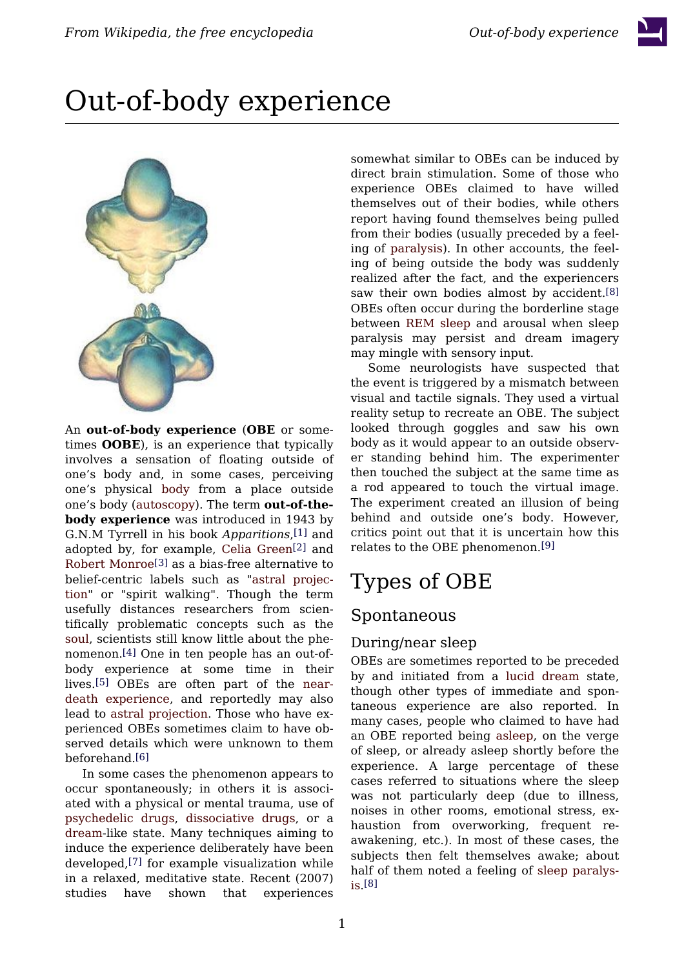



An **out-of-body experience** (**OBE** or sometimes **OOBE**), is an experience that typically involves a sensation of floating outside of one's body and, in some cases, perceiving one's physical [body](/wiki/Human_body) from a place outside one's body [\(autoscopy\)](/wiki/Autoscopy). The term **out-of-thebody experience** was introduced in 1943 by G.N.M Tyrrell in his book *Apparitions*, [\[1\]](#page-6-0) and adopted by, for example, Celia [Green](/wiki/Celia_Green)[\[2\]](#page-6-1) and Robert [Monroe](/wiki/Robert_Monroe)[\[3\]](#page-6-2) as a bias-free alternative to belief-centric labels such as "astral [projec](/wiki/Astral_projection)[tion](/wiki/Astral_projection)" or "spirit walking". Though the term usefully distances researchers from scientifically problematic concepts such as the [soul](/wiki/Soul), scientists still know little about the phenomenon.[\[4\]](#page-6-3) One in ten people has an out-ofbody experience at some time in their lives.[\[5\]](#page-6-4) OBEs are often part of the [near](/wiki/Near-death_experience)death [experience,](/wiki/Near-death_experience) and reportedly may also lead to astral [projection.](/wiki/Astral_projection) Those who have experienced OBEs sometimes claim to have observed details which were unknown to them beforehand.[\[6\]](#page-6-5)

In some cases the phenomenon appears to occur spontaneously; in others it is associated with a physical or mental trauma, use of [psychedelic](/wiki/Psychedelic_drugs) drugs, [dissociative](/wiki/Dissociative_drugs) drugs, or a [dream](/wiki/Dream)-like state. Many techniques aiming to induce the experience deliberately have been developed,[\[7\]](#page-6-6) for example visualization while in a relaxed, meditative state. Recent (2007) studies have shown that experiences somewhat similar to OBEs can be induced by direct brain stimulation. Some of those who experience OBEs claimed to have willed themselves out of their bodies, while others report having found themselves being pulled from their bodies (usually preceded by a feeling of [paralysis](/wiki/Paralysis)). In other accounts, the feeling of being outside the body was suddenly realized after the fact, and the experiencers saw their own bodies almost by accident.[\[8\]](#page-6-7) OBEs often occur during the borderline stage between REM [sleep](/wiki/REM_sleep) and arousal when sleep paralysis may persist and dream imagery may mingle with sensory input.

Some neurologists have suspected that the event is triggered by a mismatch between visual and tactile signals. They used a virtual reality setup to recreate an OBE. The subject looked through goggles and saw his own body as it would appear to an outside observer standing behind him. The experimenter then touched the subject at the same time as a rod appeared to touch the virtual image. The experiment created an illusion of being behind and outside one's body. However, critics point out that it is uncertain how this relates to the OBE phenomenon.[\[9\]](#page-6-8)

# Types of OBE

### Spontaneous

### During/near sleep

OBEs are sometimes reported to be preceded by and initiated from a lucid [dream](/wiki/Lucid_dream) state, though other types of immediate and spontaneous experience are also reported. In many cases, people who claimed to have had an OBE reported being [asleep](/wiki/Asleep), on the verge of sleep, or already asleep shortly before the experience. A large percentage of these cases referred to situations where the sleep was not particularly deep (due to illness, noises in other rooms, emotional stress, exhaustion from overworking, frequent reawakening, etc.). In most of these cases, the subjects then felt themselves awake; about half of them noted a feeling of sleep [paralys](/wiki/Sleep_paralysis)[is](/wiki/Sleep_paralysis). [\[8\]](#page-6-7)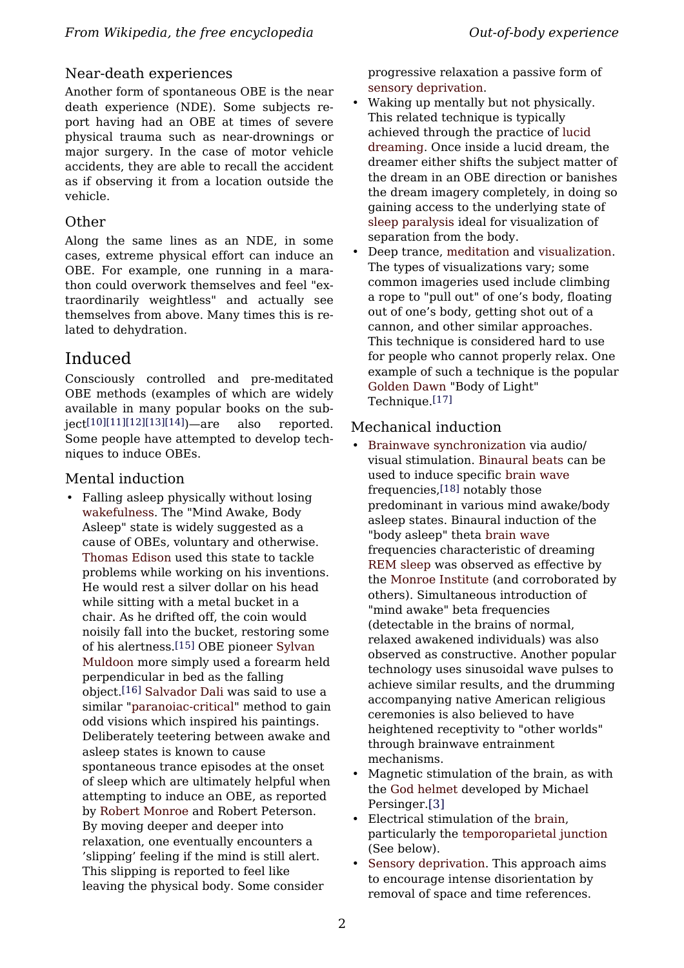### Near-death experiences

Another form of spontaneous OBE is the near death experience (NDE). Some subjects report having had an OBE at times of severe physical trauma such as near-drownings or major surgery. In the case of motor vehicle accidents, they are able to recall the accident as if observing it from a location outside the vehicle.

#### Other

Along the same lines as an NDE, in some cases, extreme physical effort can induce an OBE. For example, one running in a marathon could overwork themselves and feel "extraordinarily weightless" and actually see themselves from above. Many times this is related to dehydration.

### Induced

Consciously controlled and pre-meditated OBE methods (examples of which are widely available in many popular books on the sub- $ject[10][11][12][13][14])$  $ject[10][11][12][13][14])$  $ject[10][11][12][13][14])$  $ject[10][11][12][13][14])$  $ject[10][11][12][13][14])$  $ject[10][11][12][13][14])$  $ject[10][11][12][13][14])$ —are also reported. Some people have attempted to develop techniques to induce OBEs.

### Mental induction

• Falling asleep physically without losing [wakefulness](/wiki/Wakefulness). The "Mind Awake, Body Asleep" state is widely suggested as a cause of OBEs, voluntary and otherwise. [Thomas Edison](/wiki/Thomas_Edison) used this state to tackle problems while working on his inventions. He would rest a silver dollar on his head while sitting with a metal bucket in a chair. As he drifted off, the coin would noisily fall into the bucket, restoring some of his alertness.[\[15\]](#page-7-0) OBE pioneer [Sylvan](/wiki/Sylvan_Muldoon) [Muldoon](/wiki/Sylvan_Muldoon) more simply used a forearm held perpendicular in bed as the falling object.[\[16\]](#page-7-1) [Salvador Dali](/wiki/Salvador_Dali) was said to use a similar ["paranoiac-critical"](/wiki/Paranoiac-critical) method to gain odd visions which inspired his paintings. Deliberately teetering between awake and asleep states is known to cause spontaneous trance episodes at the onset of sleep which are ultimately helpful when attempting to induce an OBE, as reported by [Robert Monroe](/wiki/Robert_Monroe) and Robert Peterson. By moving deeper and deeper into relaxation, one eventually encounters a 'slipping' feeling if the mind is still alert. This slipping is reported to feel like leaving the physical body. Some consider

progressive relaxation a passive form of [sensory deprivation](/wiki/Sensory_deprivation).

- Waking up mentally but not physically. This related technique is typically achieved through the practice of [lucid](/wiki/Lucid_dreaming) [dreaming.](/wiki/Lucid_dreaming) Once inside a lucid dream, the dreamer either shifts the subject matter of the dream in an OBE direction or banishes the dream imagery completely, in doing so gaining access to the underlying state of [sleep paralysis](/wiki/Sleep_paralysis) ideal for visualization of separation from the body.
- Deep trance, [meditation](/wiki/Meditation) and [visualization](/wiki/Visualization). The types of visualizations vary; some common imageries used include climbing a rope to "pull out" of one's body, floating out of one's body, getting shot out of a cannon, and other similar approaches. This technique is considered hard to use for people who cannot properly relax. One example of such a technique is the popular [Golden Dawn](/wiki/Hermetic_Order_of_the_Golden_Dawn) "Body of Light" Technique.<sup>[\[17\]](#page-7-2)</sup>

### Mechanical induction

- [Brainwave synchronization](/wiki/Brainwave_synchronization) via audio/ visual stimulation. [Binaural beats](/wiki/Binaural_beats) can be used to induce specific [brain wave](/wiki/Brain_wave) frequencies,[\[18\]](#page-7-3) notably those predominant in various mind awake/body asleep states. Binaural induction of the "body asleep" theta [brain wave](/wiki/Brain_wave) frequencies characteristic of dreaming [REM sleep](/wiki/Rapid_eye_movement_sleep) was observed as effective by the [Monroe Institute](/wiki/Monroe_Institute) (and corroborated by others). Simultaneous introduction of "mind awake" beta frequencies (detectable in the brains of normal, relaxed awakened individuals) was also observed as constructive. Another popular technology uses sinusoidal wave pulses to achieve similar results, and the drumming accompanying native American religious ceremonies is also believed to have heightened receptivity to "other worlds" through brainwave entrainment mechanisms.
- Magnetic stimulation of the brain, as with the [God helmet](/wiki/God_helmet) developed by Michael Persinger.[\[3\]](http://www.shaktitechnology.com/)
- Electrical stimulation of the [brain,](/wiki/Brain) particularly the [temporoparietal junction](/wiki/Temporoparietal_junction) (See below).
- [Sensory deprivation](/wiki/Sensory_deprivation). This approach aims to encourage intense disorientation by removal of space and time references.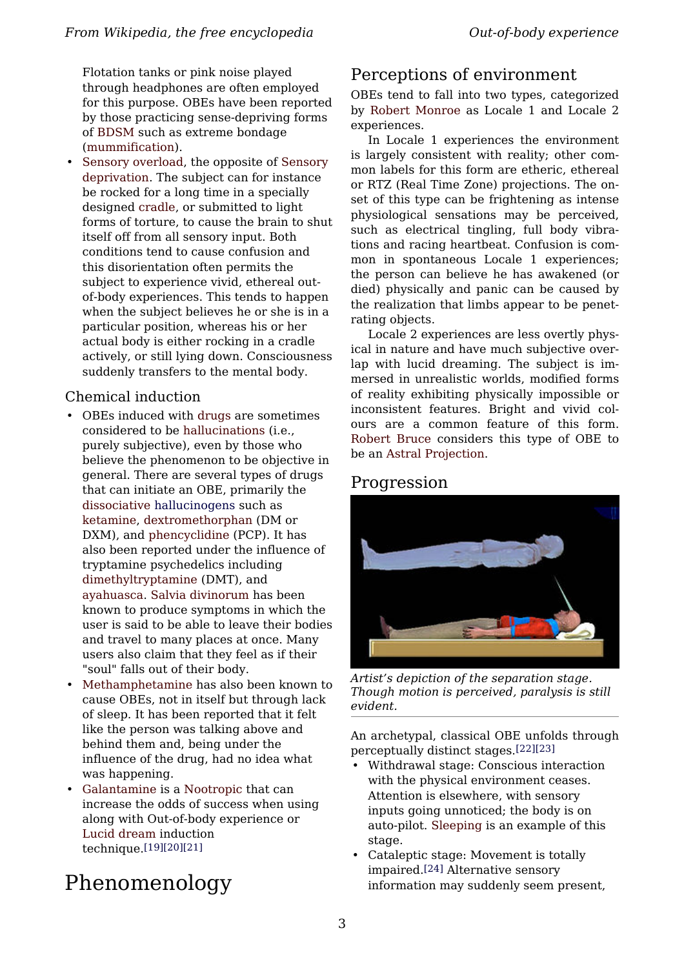Flotation tanks or pink noise played through headphones are often employed for this purpose. OBEs have been reported by those practicing sense-depriving forms of [BDSM](/wiki/BDSM) such as extreme bondage ([mummification\)](/wiki/Mummification_(BDSM)).

• [Sensory overload,](/wiki/Sensory_overload) the opposite of [Sensory](/wiki/Sensory_deprivation) [deprivation.](/wiki/Sensory_deprivation) The subject can for instance be rocked for a long time in a specially designed [cradle,](/wiki/Cradle) or submitted to light forms of torture, to cause the brain to shut itself off from all sensory input. Both conditions tend to cause confusion and this disorientation often permits the subject to experience vivid, ethereal outof-body experiences. This tends to happen when the subject believes he or she is in a particular position, whereas his or her actual body is either rocking in a cradle actively, or still lying down. Consciousness suddenly transfers to the mental body.

### Chemical induction

- OBEs induced with [drugs](/wiki/Recreational_drug_use) are sometimes considered to be [hallucinations](/wiki/Hallucination) (i.e., purely subjective), even by those who believe the phenomenon to be objective in general. There are several types of drugs that can initiate an OBE, primarily the [dissociative](/wiki/Dissociative) [hallucinogens](/w/index.php?title=Psychedelics,_dissociatives_and_deleriants&action=edit&redlink=1) such as [ketamine,](/wiki/Ketamine) [dextromethorphan](/wiki/Dextromethorphan) (DM or DXM), and [phencyclidine](/wiki/Phencyclidine) (PCP). It has also been reported under the influence of tryptamine psychedelics including [dimethyltryptamine](/wiki/Dimethyltryptamine) (DMT), and [ayahuasca.](/wiki/Ayahuasca) [Salvia divinorum](/wiki/Salvia_divinorum) has been known to produce symptoms in which the user is said to be able to leave their bodies and travel to many places at once. Many users also claim that they feel as if their "soul" falls out of their body.
- [Methamphetamine](/wiki/Methamphetamine) has also been known to cause OBEs, not in itself but through lack of sleep. It has been reported that it felt like the person was talking above and behind them and, being under the influence of the drug, had no idea what was happening.
- [Galantamine](/wiki/Galantamine) is a [Nootropic](/wiki/Nootropic) that can increase the odds of success when using along with Out-of-body experience or [Lucid dream](/wiki/Lucid_dream) induction technique.[\[19\]](#page-7-4)[\[20\]](#page-7-5)[\[21\]](#page-7-6)

# Phenomenology

### Perceptions of environment

OBEs tend to fall into two types, categorized by Robert [Monroe](/wiki/Robert_Monroe) as Locale 1 and Locale 2 experiences.

In Locale 1 experiences the environment is largely consistent with reality; other common labels for this form are etheric, ethereal or RTZ (Real Time Zone) projections. The onset of this type can be frightening as intense physiological sensations may be perceived, such as electrical tingling, full body vibrations and racing heartbeat. Confusion is common in spontaneous Locale 1 experiences; the person can believe he has awakened (or died) physically and panic can be caused by the realization that limbs appear to be penetrating objects.

Locale 2 experiences are less overtly physical in nature and have much subjective overlap with lucid dreaming. The subject is immersed in unrealistic worlds, modified forms of reality exhibiting physically impossible or inconsistent features. Bright and vivid colours are a common feature of this form. [Robert](/wiki/Robert_Bruce_(author)) Bruce considers this type of OBE to be an [Astral Projection.](/wiki/Astral_Projection)

### Progression



*Artist's depiction of the separation stage. Though motion is perceived, paralysis is still evident.*

An archetypal, classical OBE unfolds through perceptually distinct stages.[\[22\]](#page-7-7)[\[23\]](#page-7-8)

- Withdrawal stage: Conscious interaction with the physical environment ceases. Attention is elsewhere, with sensory inputs going unnoticed; the body is on auto-pilot. [Sleeping](/wiki/Sleeping) is an example of this stage.
- Cataleptic stage: Movement is totally impaired.[\[24\]](#page-7-9) Alternative sensory information may suddenly seem present,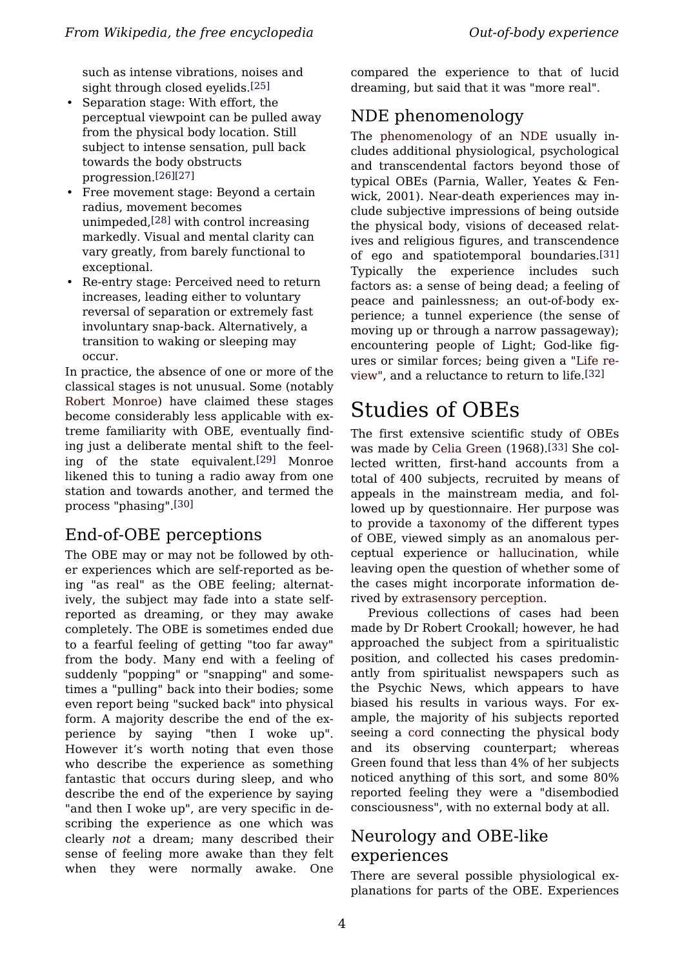such as intense vibrations, noises and sight through closed evelids.<sup>[\[25\]](#page-7-10)</sup>

- Separation stage: With effort, the perceptual viewpoint can be pulled away from the physical body location. Still subject to intense sensation, pull back towards the body obstructs progression.[\[26\]](#page-7-11)[\[27\]](#page-7-12)
- Free movement stage: Beyond a certain radius, movement becomes unimpeded,[\[28\]](#page-7-13) with control increasing markedly. Visual and mental clarity can vary greatly, from barely functional to exceptional.
- Re-entry stage: Perceived need to return increases, leading either to voluntary reversal of separation or extremely fast involuntary snap-back. Alternatively, a transition to waking or sleeping may occur.

In practice, the absence of one or more of the classical stages is not unusual. Some (notably Robert [Monroe](/wiki/Robert_Monroe)) have claimed these stages become considerably less applicable with extreme familiarity with OBE, eventually finding just a deliberate mental shift to the feeling of the state equivalent.[\[29\]](#page-7-14) Monroe likened this to tuning a radio away from one station and towards another, and termed the process "phasing".[\[30\]](#page-7-15)

## End-of-OBE perceptions

The OBE may or may not be followed by other experiences which are self-reported as being "as real" as the OBE feeling; alternatively, the subject may fade into a state selfreported as dreaming, or they may awake completely. The OBE is sometimes ended due to a fearful feeling of getting "too far away" from the body. Many end with a feeling of suddenly "popping" or "snapping" and sometimes a "pulling" back into their bodies; some even report being "sucked back" into physical form. A majority describe the end of the experience by saying "then I woke up". However it's worth noting that even those who describe the experience as something fantastic that occurs during sleep, and who describe the end of the experience by saying "and then I woke up", are very specific in describing the experience as one which was clearly *not* a dream; many described their sense of feeling more awake than they felt when they were normally awake. One

compared the experience to that of lucid dreaming, but said that it was "more real".

## NDE phenomenology

The [phenomenology](/wiki/Phenomenology_(philosophy)) of an [NDE](/wiki/Near-death_experience) usually includes additional physiological, psychological and transcendental factors beyond those of typical OBEs (Parnia, Waller, Yeates & Fenwick, 2001). Near-death experiences may include subjective impressions of being outside the physical body, visions of deceased relatives and religious figures, and transcendence of ego and spatiotemporal boundaries.[\[31\]](#page-7-0) Typically the experience includes such factors as: a sense of being dead; a feeling of peace and painlessness; an out-of-body experience; a tunnel experience (the sense of moving up or through a narrow passageway); encountering people of Light; God-like figures or similar forces; being given a ["Life](/wiki/Life_review) re[view](/wiki/Life_review)", and a reluctance to return to life.[\[32\]](#page-7-16)

# Studies of OBEs

The first extensive scientific study of OBEs was made by Celia [Green](/wiki/Celia_Green) (1968).[\[33\]](#page-7-2) She collected written, first-hand accounts from a total of 400 subjects, recruited by means of appeals in the mainstream media, and followed up by questionnaire. Her purpose was to provide a [taxonomy](/wiki/Taxonomy) of the different types of OBE, viewed simply as an anomalous perceptual experience or [hallucination,](/wiki/Hallucination) while leaving open the question of whether some of the cases might incorporate information derived by [extrasensory perception.](/wiki/Extrasensory_perception)

Previous collections of cases had been made by Dr Robert Crookall; however, he had approached the subject from a spiritualistic position, and collected his cases predominantly from spiritualist newspapers such as the Psychic News, which appears to have biased his results in various ways. For example, the majority of his subjects reported seeing a [cord](/wiki/Silver_cord) connecting the physical body and its observing counterpart; whereas Green found that less than 4% of her subjects noticed anything of this sort, and some 80% reported feeling they were a "disembodied consciousness", with no external body at all.

### Neurology and OBE-like experiences

There are several possible physiological explanations for parts of the OBE. Experiences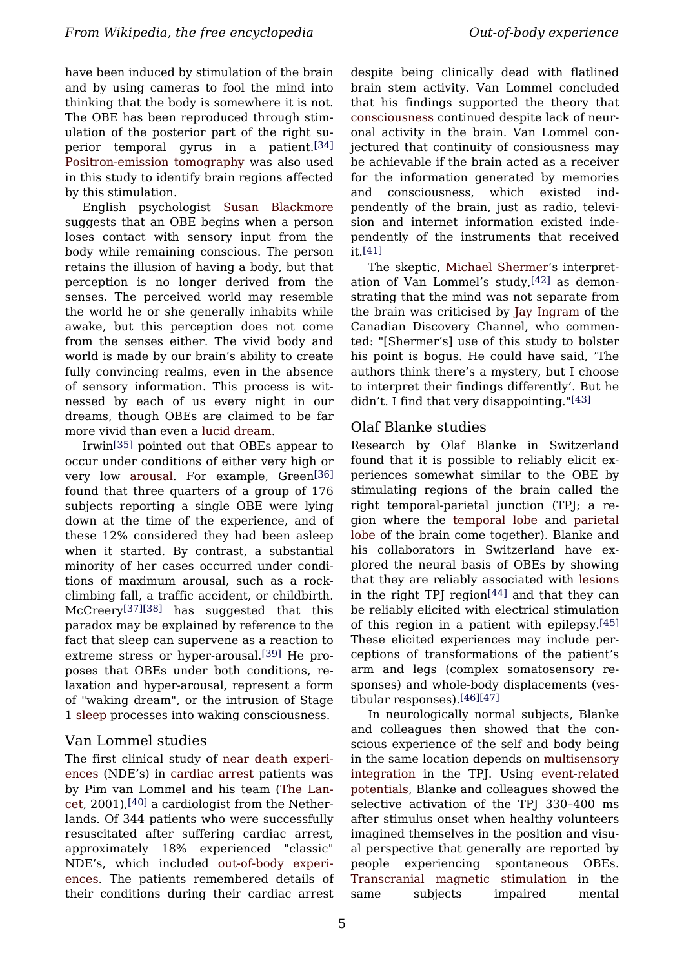have been induced by stimulation of the brain and by using cameras to fool the mind into thinking that the body is somewhere it is not. The OBE has been reproduced through stimulation of the posterior part of the right superior temporal gyrus in a patient.[\[34\]](#page-7-17) [Positron-emission](/wiki/Positron-emission_tomography) tomography was also used in this study to identify brain regions affected by this stimulation.

English psychologist Susan [Blackmore](/wiki/Susan_Blackmore) suggests that an OBE begins when a person loses contact with sensory input from the body while remaining conscious. The person retains the illusion of having a body, but that perception is no longer derived from the senses. The perceived world may resemble the world he or she generally inhabits while awake, but this perception does not come from the senses either. The vivid body and world is made by our brain's ability to create fully convincing realms, even in the absence of sensory information. This process is witnessed by each of us every night in our dreams, though OBEs are claimed to be far more vivid than even a [lucid dream](/wiki/Lucid_dream).

Irwin[\[35\]](#page-7-18) pointed out that OBEs appear to occur under conditions of either very high or very low [arousal.](/wiki/Arousal) For example, Green[\[36\]](#page-7-19) found that three quarters of a group of 176 subjects reporting a single OBE were lying down at the time of the experience, and of these 12% considered they had been asleep when it started. By contrast, a substantial minority of her cases occurred under conditions of maximum arousal, such as a rockclimbing fall, a traffic accident, or childbirth. McCreery[\[37\]](#page-7-6)[\[38\]](#page-7-20) has suggested that this paradox may be explained by reference to the fact that sleep can supervene as a reaction to extreme stress or hyper-arousal.[\[39\]](#page-7-21) He proposes that OBEs under both conditions, relaxation and hyper-arousal, represent a form of "waking dream", or the intrusion of Stage 1 [sleep](/wiki/Sleep) processes into waking consciousness.

### Van Lommel studies

The first clinical study of near death [experi](/wiki/Near_death_experiences)[ences](/wiki/Near_death_experiences) (NDE's) in [cardiac](/wiki/Cardiac_arrest) arrest patients was by Pim van Lommel and his team (The [Lan](/wiki/The_Lancet)[cet](/wiki/The_Lancet), 2001),[\[40\]](#page-7-22) a cardiologist from the Netherlands. Of 344 patients who were successfully resuscitated after suffering cardiac arrest, approximately 18% experienced "classic" NDE's, which included [out-of-body](/wiki/Out-of-body_experiences) experi[ences.](/wiki/Out-of-body_experiences) The patients remembered details of their conditions during their cardiac arrest

despite being clinically dead with flatlined brain stem activity. Van Lommel concluded that his findings supported the theory that [consciousness](/wiki/Consciousness) continued despite lack of neuronal activity in the brain. Van Lommel conjectured that continuity of consiousness may be achievable if the brain acted as a receiver for the information generated by memories and consciousness, which existed indpendently of the brain, just as radio, television and internet information existed independently of the instruments that received it.[\[41\]](#page-7-23)

The skeptic, Michael [Shermer'](/wiki/Michael_Shermer)s interpretation of Van Lommel's study,[\[42\]](#page-7-24) as demonstrating that the mind was not separate from the brain was criticised by Jay [Ingram](/wiki/Jay_Ingram) of the Canadian Discovery Channel, who commented: "[Shermer's] use of this study to bolster his point is bogus. He could have said, 'The authors think there's a mystery, but I choose to interpret their findings differently'. But he didn't. I find that very disappointing."[\[43\]](#page-7-13)

### Olaf Blanke studies

Research by Olaf Blanke in Switzerland found that it is possible to reliably elicit experiences somewhat similar to the OBE by stimulating regions of the brain called the right temporal-parietal junction (TPJ; a region where the [temporal](/wiki/Temporal_lobe) lobe and [parietal](/wiki/Parietal_lobe) [lobe](/wiki/Parietal_lobe) of the brain come together). Blanke and his collaborators in Switzerland have explored the neural basis of OBEs by showing that they are reliably associated with [lesions](/wiki/Lesions) in the right TPJ region<sup>[\[44\]](#page-7-25)</sup> and that they can be reliably elicited with electrical stimulation of this region in a patient with epilepsy.[\[45\]](#page-7-14) These elicited experiences may include perceptions of transformations of the patient's arm and legs (complex somatosensory responses) and whole-body displacements (vestibular responses).[\[46\]](#page-7-26)[\[47\]](#page-8-0)

In neurologically normal subjects, Blanke and colleagues then showed that the conscious experience of the self and body being in the same location depends on [multisensory](/wiki/Multisensory_integration) [integration](/wiki/Multisensory_integration) in the TPJ. Using [event-related](/wiki/Event-related_potential) [potentials](/wiki/Event-related_potential), Blanke and colleagues showed the selective activation of the TPJ 330–400 ms after stimulus onset when healthy volunteers imagined themselves in the position and visual perspective that generally are reported by people experiencing spontaneous OBEs. [Transcranial](/wiki/Transcranial_magnetic_stimulation) magnetic stimulation in the same subjects impaired mental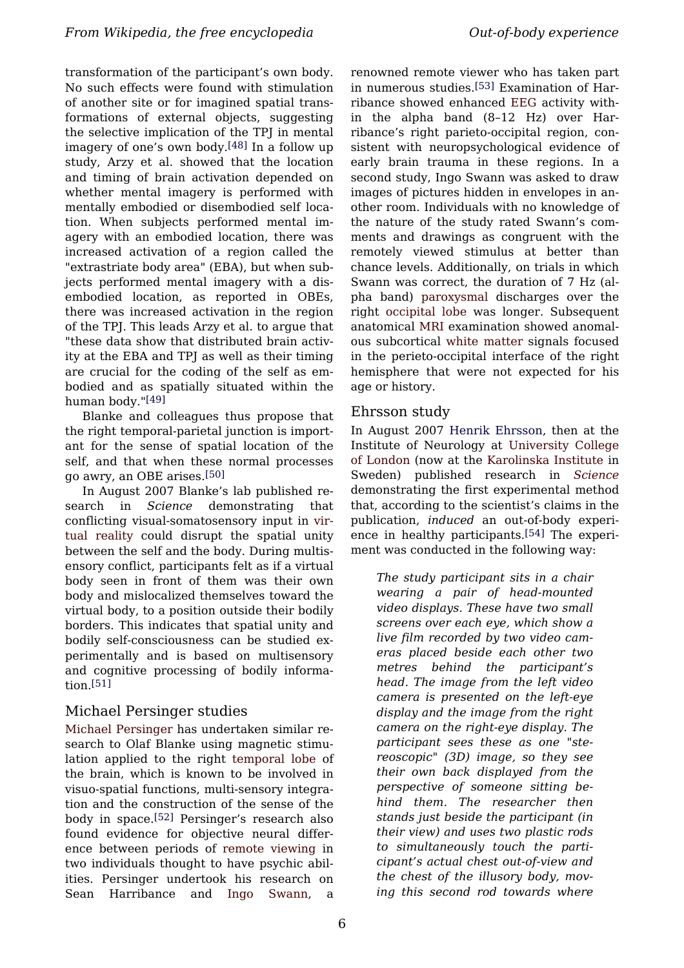transformation of the participant's own body. No such effects were found with stimulation of another site or for imagined spatial transformations of external objects, suggesting the selective implication of the TPJ in mental imagery of one's own body.[\[48\]](#page-8-1) In a follow up study, Arzy et al. showed that the location and timing of brain activation depended on whether mental imagery is performed with mentally embodied or disembodied self location. When subjects performed mental imagery with an embodied location, there was increased activation of a region called the "extrastriate body area" (EBA), but when subjects performed mental imagery with a disembodied location, as reported in OBEs, there was increased activation in the region of the TPJ. This leads Arzy et al. to argue that "these data show that distributed brain activity at the EBA and TPJ as well as their timing are crucial for the coding of the self as embodied and as spatially situated within the human body."[\[49\]](#page-8-2)

Blanke and colleagues thus propose that the right temporal-parietal junction is important for the sense of spatial location of the self, and that when these normal processes go awry, an OBE arises.[\[50\]](#page-8-3)

In August 2007 Blanke's lab published research in *Science* demonstrating that conflicting visual-somatosensory input in [vir](/wiki/Virtual_reality)tual [reality](/wiki/Virtual_reality) could disrupt the spatial unity between the self and the body. During multisensory conflict, participants felt as if a virtual body seen in front of them was their own body and mislocalized themselves toward the virtual body, to a position outside their bodily borders. This indicates that spatial unity and bodily self-consciousness can be studied experimentally and is based on multisensory and cognitive processing of bodily information.[\[51\]](#page-8-4)

### Michael Persinger studies

Michael [Persinger](/wiki/Michael_Persinger) has undertaken similar research to Olaf Blanke using magnetic stimulation applied to the right [temporal](/wiki/Temporal_lobe) lobe of the brain, which is known to be involved in visuo-spatial functions, multi-sensory integration and the construction of the sense of the body in space.[\[52\]](#page-8-5) Persinger's research also found evidence for objective neural difference between periods of remote [viewing](/wiki/Remote_viewing) in two individuals thought to have psychic abilities. Persinger undertook his research on Sean Harribance and Ingo [Swann,](/wiki/Ingo_Swann) a

renowned remote viewer who has taken part in numerous studies.[\[53\]](#page-8-6) Examination of Harribance showed enhanced [EEG](/wiki/Electroencephalography) activity within the alpha band (8–12 Hz) over Harribance's right parieto-occipital region, consistent with neuropsychological evidence of early brain trauma in these regions. In a second study, Ingo Swann was asked to draw images of pictures hidden in envelopes in another room. Individuals with no knowledge of the nature of the study rated Swann's comments and drawings as congruent with the remotely viewed stimulus at better than chance levels. Additionally, on trials in which Swann was correct, the duration of 7 Hz (alpha band) [paroxysmal](/wiki/Paroxysmal) discharges over the right [occipital](/wiki/Occipital_lobe) lobe was longer. Subsequent anatomical [MRI](/wiki/MRI) examination showed anomalous subcortical white [matter](/wiki/White_matter) signals focused in the perieto-occipital interface of the right hemisphere that were not expected for his age or history.

### Ehrsson study

In August 2007 Henrik [Ehrsson,](/w/index.php?title=Henrik_Ehrsson&action=edit&redlink=1) then at the Institute of Neurology at [University](/wiki/University_College_of_London) College of [London](/wiki/University_College_of_London) (now at the [Karolinska](/wiki/Karolinska_Institute) Institute in Sweden) published research in *[Science](/wiki/Science_(magazine))* demonstrating the first experimental method that, according to the scientist's claims in the publication, *induced* an out-of-body experience in healthy participants.[\[54\]](#page-8-7) The experiment was conducted in the following way:

*The study participant sits in a chair wearing a pair of head-mounted video displays. These have two small screens over each eye, which show a live film recorded by two video cameras placed beside each other two metres behind the participant's head. The image from the left video camera is presented on the left-eye display and the image from the right camera on the right-eye display. The participant sees these as one "stereoscopic" (3D) image, so they see their own back displayed from the perspective of someone sitting behind them. The researcher then stands just beside the participant (in their view) and uses two plastic rods to simultaneously touch the participant's actual chest out-of-view and the chest of the illusory body, moving this second rod towards where*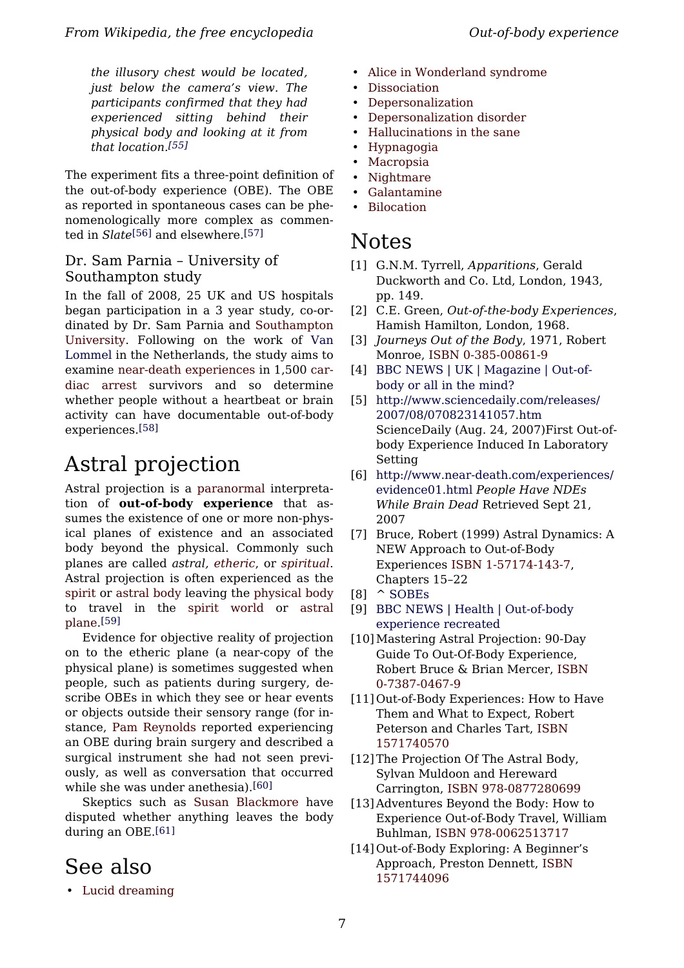*the illusory chest would be located, just below the camera's view. The participants confirmed that they had experienced sitting behind their physical body and looking at it from that location.[\[55\]](#page-8-8)*

The experiment fits a three-point definition of the out-of-body experience (OBE). The OBE as reported in spontaneous cases can be phenomenologically more complex as commented in *Slate*[\[56\]](#page-8-9) and elsewhere.[\[57\]](#page-8-10)

### <span id="page-6-0"></span>Dr. Sam Parnia – University of Southampton study

<span id="page-6-3"></span><span id="page-6-2"></span><span id="page-6-1"></span>In the fall of 2008, 25 UK and US hospitals began participation in a 3 year study, co-ordinated by Dr. Sam Parnia and [Southampton](/wiki/Southampton_University) [University](/wiki/Southampton_University). Following on the work of [Van](/w/index.php?title=Van_Lommel&action=edit&redlink=1) [Lommel](/w/index.php?title=Van_Lommel&action=edit&redlink=1) in the Netherlands, the study aims to examine near-death [experiences](/wiki/Near-death_experiences) in 1,500 [car](/wiki/Cardiac_arrest)diac [arrest](/wiki/Cardiac_arrest) survivors and so determine whether people without a heartbeat or brain activity can have documentable out-of-body experiences.[\[58\]](#page-8-11)

# <span id="page-6-4"></span>Astral projection

<span id="page-6-6"></span><span id="page-6-5"></span>Astral projection is a [paranormal](/wiki/Paranormal) interpretation of **out-of-body experience** that assumes the existence of one or more non-physical planes of existence and an associated body beyond the physical. Commonly such planes are called *astral, [etheric](/wiki/Etheric_body)*, or *[spiritual](/wiki/Spirituality)*. Astral projection is often experienced as the [spirit](/wiki/Soul) or [astral](/wiki/Astral_body) body leaving the [physical](/wiki/Human_anatomy) body to travel in the spirit [world](/wiki/Spirit_world) or [astral](/wiki/Astral_plane) [plane.](/wiki/Astral_plane) [\[59\]](#page-8-0)

<span id="page-6-10"></span><span id="page-6-9"></span><span id="page-6-8"></span><span id="page-6-7"></span>Evidence for objective reality of projection on to the etheric plane (a near-copy of the physical plane) is sometimes suggested when people, such as patients during surgery, describe OBEs in which they see or hear events or objects outside their sensory range (for instance, Pam [Reynolds](/wiki/Pam_Reynolds) reported experiencing an OBE during brain surgery and described a surgical instrument she had not seen previously, as well as conversation that occurred while she was under anethesia).[\[60\]](#page-8-12)

<span id="page-6-12"></span><span id="page-6-11"></span>Skeptics such as Susan [Blackmore](/wiki/Susan_Blackmore) have disputed whether anything leaves the body during an OBE.[\[61\]](#page-8-13)

## <span id="page-6-13"></span>See also

• [Lucid dreaming](/wiki/Lucid_dreaming)

- [Alice in Wonderland syndrome](/wiki/Alice_in_Wonderland_syndrome)
- [Dissociation](/wiki/Dissociation)
- [Depersonalization](/wiki/Depersonalization)
- [Depersonalization disorder](/wiki/Depersonalization_disorder)
- [Hallucinations in the sane](/wiki/Hallucinations_in_the_sane)
- [Hypnagogia](/wiki/Hypnagogia)
- [Macropsia](/wiki/Macropsia)
- [Nightmare](/wiki/Nightmare)
- [Galantamine](/wiki/Galantamine)
- **[Bilocation](/wiki/Bilocation)**

## Notes

- [1] G.N.M. Tyrrell, *Apparitions*, Gerald Duckworth and Co. Ltd, London, 1943, pp. 149.
- [2] C.E. Green, *Out-of-the-body Experiences*, Hamish Hamilton, London, 1968.
- [3] *Journeys Out of the Body*, 1971, Robert Monroe, [ISBN 0-385-00861-9](/wiki/Special:BookSources/0385008619)
- [4] [BBC NEWS | UK | Magazine | Out-of](http://news.bbc.co.uk/2/hi/uk_news/magazine/4271018.stm)[body or all in the mind?](http://news.bbc.co.uk/2/hi/uk_news/magazine/4271018.stm)
- [5] [http://www.sciencedaily.com/releases/](http://www.sciencedaily.com/releases/2007/08/070823141057.htm) [2007/08/070823141057.htm](http://www.sciencedaily.com/releases/2007/08/070823141057.htm) ScienceDaily (Aug. 24, 2007)First Out-ofbody Experience Induced In Laboratory Setting
- [6] [http://www.near-death.com/experiences/](http://www.near-death.com/experiences/evidence01.html) [evidence01.html](http://www.near-death.com/experiences/evidence01.html) *People Have NDEs While Brain Dead* Retrieved Sept 21, 2007
- [7] Bruce, Robert (1999) Astral Dynamics: A NEW Approach to Out-of-Body Experiences [ISBN 1-57174-143-7](/wiki/Special:BookSources/1571741437), Chapters 15–22
- [8] ^ [SOBEs](http://www.oberf.org/sobe_stories.htm)
- [9] [BBC NEWS | Health | Out-of-body](http://news.bbc.co.uk/2/hi/health/6960612.stm) [experience recreated](http://news.bbc.co.uk/2/hi/health/6960612.stm)
- [10]Mastering Astral Projection: 90-Day Guide To Out-Of-Body Experience, Robert Bruce & Brian Mercer, [ISBN](/wiki/Special:BookSources/0738704679) [0-7387-0467-9](/wiki/Special:BookSources/0738704679)
- [11] Out-of-Body Experiences: How to Have Them and What to Expect, Robert Peterson and Charles Tart, [ISBN](/wiki/Special:BookSources/1571740570) [1571740570](/wiki/Special:BookSources/1571740570)
- [12]The Projection Of The Astral Body, Sylvan Muldoon and Hereward Carrington, [ISBN 978-0877280699](/wiki/Special:BookSources/9780877280699)
- [13] Adventures Beyond the Body: How to Experience Out-of-Body Travel, William Buhlman, [ISBN 978-0062513717](/wiki/Special:BookSources/9780062513717)
- [14] Out-of-Body Exploring: A Beginner's Approach, Preston Dennett, [ISBN](/wiki/Special:BookSources/1571744096) [1571744096](/wiki/Special:BookSources/1571744096)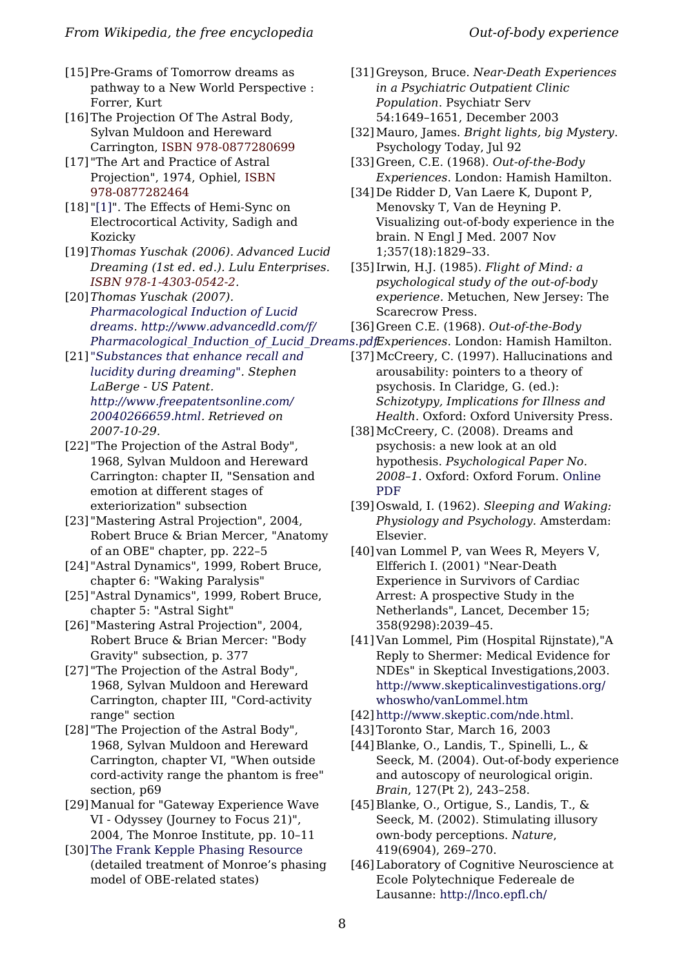- <span id="page-7-0"></span>[15] Pre-Grams of Tomorrow dreams as pathway to a New World Perspective : Forrer, Kurt
- <span id="page-7-16"></span><span id="page-7-1"></span>[16]The Projection Of The Astral Body, Sylvan Muldoon and Hereward Carrington, [ISBN 978-0877280699](/wiki/Special:BookSources/9780877280699)
- <span id="page-7-2"></span>[17] "The Art and Practice of Astral Projection", 1974, Ophiel, [ISBN](/wiki/Special:BookSources/9780877282464) [978-0877282464](/wiki/Special:BookSources/9780877282464)
- <span id="page-7-17"></span><span id="page-7-3"></span>[18] ["\[1\]](http://www.monroeinstitute.com/content.php?content_id=33)". The Effects of Hemi-Sync on Electrocortical Activity, Sadigh and Kozicky
- <span id="page-7-18"></span><span id="page-7-4"></span>[19]*Thomas Yuschak (2006). Advanced Lucid Dreaming (1st ed. ed.). Lulu Enterprises. [ISBN 978-1-4303-0542-2.](/wiki/Special:BookSources/9781430305422)*
- <span id="page-7-19"></span><span id="page-7-5"></span>[20]*Thomas Yuschak (2007). [Pharmacological Induction of Lucid](http://www.advancedld.com/f/Pharmacological_Induction_of_Lucid_Dreams.pdf) [dreams](http://www.advancedld.com/f/Pharmacological_Induction_of_Lucid_Dreams.pdf). [http://www.advancedld.com/f/](http://www.advancedld.com/f/Pharmacological_Induction_of_Lucid_Dreams.pdf)*
- <span id="page-7-6"></span>[21] *["Substances that enhance recall and](http://www.freepatentsonline.com/20040266659.html) [lucidity during dreaming".](http://www.freepatentsonline.com/20040266659.html) Stephen LaBerge - US Patent. [http://www.freepatentsonline.com/](http://www.freepatentsonline.com/20040266659.html) [20040266659.html.](http://www.freepatentsonline.com/20040266659.html) Retrieved on 2007-10-29.*
- <span id="page-7-20"></span><span id="page-7-7"></span>[22] "The Projection of the Astral Body", 1968, Sylvan Muldoon and Hereward Carrington: chapter II, "Sensation and emotion at different stages of exteriorization" subsection
- <span id="page-7-21"></span><span id="page-7-8"></span>[23] "Mastering Astral Projection", 2004, Robert Bruce & Brian Mercer, "Anatomy of an OBE" chapter, pp. 222–5
- <span id="page-7-22"></span><span id="page-7-9"></span>[24] "Astral Dynamics", 1999, Robert Bruce, chapter 6: "Waking Paralysis"
- <span id="page-7-10"></span>[25] "Astral Dynamics", 1999, Robert Bruce, chapter 5: "Astral Sight"
- <span id="page-7-23"></span><span id="page-7-11"></span>[26] "Mastering Astral Projection", 2004, Robert Bruce & Brian Mercer: "Body Gravity" subsection, p. 377
- <span id="page-7-12"></span>[27] "The Projection of the Astral Body", 1968, Sylvan Muldoon and Hereward Carrington, chapter III, "Cord-activity range" section
- <span id="page-7-25"></span><span id="page-7-24"></span><span id="page-7-13"></span>[28] "The Projection of the Astral Body", 1968, Sylvan Muldoon and Hereward Carrington, chapter VI, "When outside cord-activity range the phantom is free" section, p69
- <span id="page-7-14"></span>[29]Manual for "Gateway Experience Wave VI - Odyssey (Journey to Focus 21)", 2004, The Monroe Institute, pp. 10–11
- <span id="page-7-26"></span><span id="page-7-15"></span>[30][The Frank Kepple Phasing Resource](http://www.astralpulse.com/frankkepple.html) (detailed treatment of Monroe's phasing model of OBE-related states)
- [31]Greyson, Bruce. *Near-Death Experiences in a Psychiatric Outpatient Clinic Population*. Psychiatr Serv 54:1649–1651, December 2003
- [32]Mauro, James. *Bright lights, big Mystery*. Psychology Today, Jul 92
- [33]Green, C.E. (1968). *Out-of-the-Body Experiences*. London: Hamish Hamilton.
- [34] De Ridder D, Van Laere K, Dupont P, Menovsky T, Van de Heyning P. Visualizing out-of-body experience in the brain. N Engl J Med. 2007 Nov 1;357(18):1829–33.
- [35]Irwin, H.J. (1985). *Flight of Mind: a psychological study of the out-of-body experience.* Metuchen, New Jersey: The Scarecrow Press.
- [36]Green C.E. (1968). *Out-of-the-Body*
- *[Pharmacological\\_Induction\\_of\\_Lucid\\_Dreams.pdf.](http://www.advancedld.com/f/Pharmacological_Induction_of_Lucid_Dreams.pdf) Experiences*. London: Hamish Hamilton.
	- [37]McCreery, C. (1997). Hallucinations and arousability: pointers to a theory of psychosis. In Claridge, G. (ed.): *Schizotypy, Implications for Illness and Health*. Oxford: Oxford University Press.
	- [38]McCreery, C. (2008). Dreams and psychosis: a new look at an old hypothesis. *Psychological Paper No. 2008–1*. Oxford: Oxford Forum. [Online](http://www.celiagreen.com/charlesmccreery/dreams-and-psychosis.pdf) [PDF](http://www.celiagreen.com/charlesmccreery/dreams-and-psychosis.pdf)
	- [39] Oswald, I. (1962). *Sleeping and Waking: Physiology and Psychology.* Amsterdam: Elsevier.
	- [40] van Lommel P, van Wees R, Meyers V, Elfferich I. (2001) "Near-Death Experience in Survivors of Cardiac Arrest: A prospective Study in the Netherlands", Lancet, December 15; 358(9298):2039–45.
	- [41] Van Lommel, Pim (Hospital Rijnstate),"A Reply to Shermer: Medical Evidence for NDEs" in Skeptical Investigations,2003. [http://www.skepticalinvestigations.org/](http://www.skepticalinvestigations.org/whoswho/vanLommel.htm) [whoswho/vanLommel.htm](http://www.skepticalinvestigations.org/whoswho/vanLommel.htm)
	- [42]<http://www.skeptic.com/nde.html>.
	- [43]Toronto Star, March 16, 2003
	- [44] Blanke, O., Landis, T., Spinelli, L., & Seeck, M. (2004). Out-of-body experience and autoscopy of neurological origin. *Brain*, 127(Pt 2), 243–258.
	- [45] Blanke, O., Ortigue, S., Landis, T., & Seeck, M. (2002). Stimulating illusory own-body perceptions. *Nature*, 419(6904), 269–270.
	- [46] Laboratory of Cognitive Neuroscience at Ecole Polytechnique Federeale de Lausanne: <http://lnco.epfl.ch/>